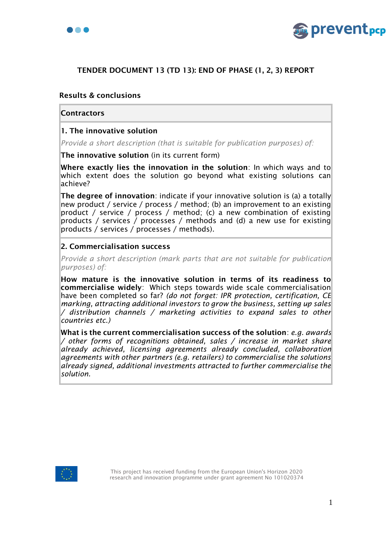



# TENDER DOCUMENT 13 (TD 13): END OF PHASE (1, 2, 3) REPORT

## Results & conclusions

#### **Contractors**

### 1. The innovative solution

*Provide a short description (that is suitable for publication purposes) of:*

The innovative solution (in its current form)

Where exactly lies the innovation in the solution: In which ways and to which extent does the solution go beyond what existing solutions can achieve?

The degree of innovation: indicate if your innovative solution is (a) a totally new product / service / process / method; (b) an improvement to an existing product / service / process / method; (c) a new combination of existing products / services / processes / methods and (d) a new use for existing products / services / processes / methods).

## 2. Commercialisation success

*Provide a short description (mark parts that are not suitable for publication purposes) of:*

How mature is the innovative solution in terms of its readiness to commercialise widely: Which steps towards wide scale commercialisation have been completed so far? *(do not forget: IPR protection, certification, CE marking, attracting additional investors to grow the business, setting up sales / distribution channels / marketing activities to expand sales to other countries etc.)*

What is the current commercialisation success of the solution: *e.g. awards / other forms of recognitions obtained, sales / increase in market share already achieved, licensing agreements already concluded, collaboration agreements with other partners (e.g. retailers) to commercialise the solutions already signed, additional investments attracted to further commercialise the solution.*

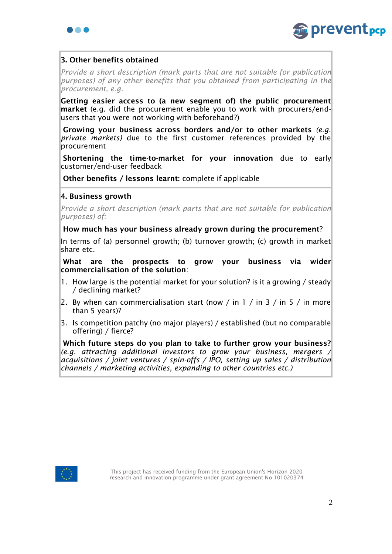



# 3. Other benefits obtained

*Provide a short description (mark parts that are not suitable for publication purposes) of any other benefits that you obtained from participating in the procurement, e.g.*

Getting easier access to (a new segment of) the public procurement market (e.g. did the procurement enable you to work with procurers/endusers that you were not working with beforehand?)

Growing your business across borders and/or to other markets *(e.g. private markets)* due to the first customer references provided by the procurement

Shortening the time-to-market for your innovation due to early customer/end-user feedback

Other benefits / lessons learnt: complete if applicable

## 4. Business growth

*Provide a short description (mark parts that are not suitable for publication purposes) of:*

How much has your business already grown during the procurement?

In terms of (a) personnel growth; (b) turnover growth; (c) growth in market share etc.

What are the prospects to grow your business via wider commercialisation of the solution:

- 1. How large is the potential market for your solution? is it a growing / steady / declining market?
- 2. By when can commercialisation start (now  $\frac{1}{10}$  in 3  $\frac{1}{10}$  in 5  $\frac{1}{10}$  more than 5 years)?
- 3. Is competition patchy (no major players) / established (but no comparable offering) / fierce?

Which future steps do you plan to take to further grow your business? *(e.g. attracting additional investors to grow your business, mergers / acquisitions / joint ventures / spin-offs / IPO, setting up sales / distribution channels / marketing activities, expanding to other countries etc.)*

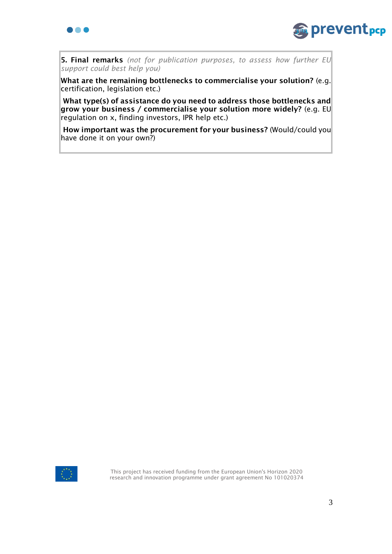



5. Final remarks *(not for publication purposes, to assess how further EU support could best help you)*

What are the remaining bottlenecks to commercialise your solution? (e.g. certification, legislation etc.)

What type(s) of assistance do you need to address those bottlenecks and grow your business / commercialise your solution more widely? (e.g. EU regulation on x, finding investors, IPR help etc.)

How important was the procurement for your business? (Would/could you have done it on your own?)



This project has received funding from the European Union's Horizon 2020 research and innovation programme under grant agreement No 101020374